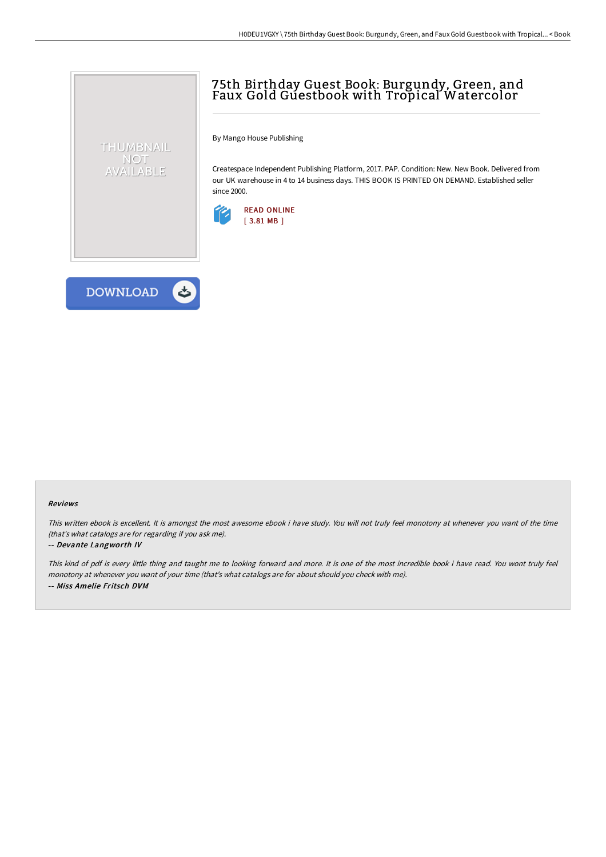# 75th Birthday Guest Book: Burgundy, Green, and Faux Gold Guestbook with Tropical Watercolor

By Mango House Publishing

Createspace Independent Publishing Platform, 2017. PAP. Condition: New. New Book. Delivered from our UK warehouse in 4 to 14 business days. THIS BOOK IS PRINTED ON DEMAND. Established seller since 2000.





THUMBNAIL NOT AVAILABLE

#### Reviews

This written ebook is excellent. It is amongst the most awesome ebook i have study. You will not truly feel monotony at whenever you want of the time (that's what catalogs are for regarding if you ask me).

#### -- Devante Langworth IV

This kind of pdf is every little thing and taught me to looking forward and more. It is one of the most incredible book i have read. You wont truly feel monotony at whenever you want of your time (that's what catalogs are for about should you check with me). -- Miss Amelie Fritsch DVM